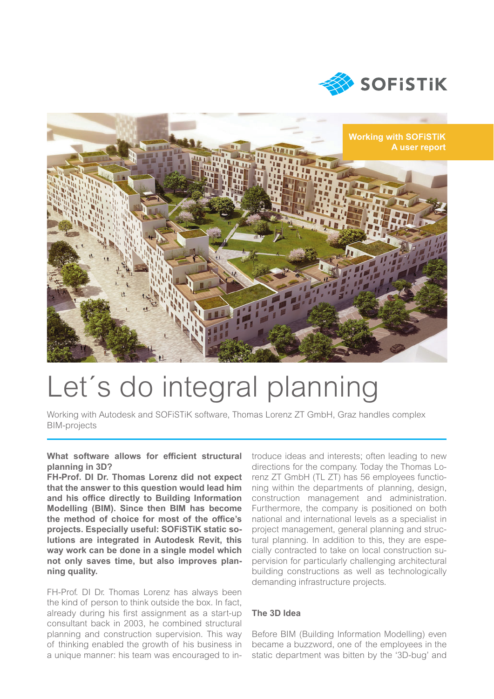



# Let´s do integral planning

Working with Autodesk and SOFiSTiK software, Thomas Lorenz ZT GmbH, Graz handles complex BIM-projects

**What software allows for efficient structural planning in 3D?**

**FH-Prof. DI Dr. Thomas Lorenz did not expect that the answer to this question would lead him and his offi ce directly to Building Information Modelling (BIM). Since then BIM has become the method of choice for most of the offi ce's projects. Especially useful: SOFiSTiK static solutions are integrated in Autodesk Revit, this way work can be done in a single model which not only saves time, but also improves planning quality.**

FH-Prof. DI Dr. Thomas Lorenz has always been the kind of person to think outside the box. In fact, already during his first assignment as a start-up consultant back in 2003, he combined structural planning and construction supervision. This way of thinking enabled the growth of his business in a unique manner: his team was encouraged to introduce ideas and interests; often leading to new directions for the company. Today the Thomas Lorenz ZT GmbH (TL ZT) has 56 employees functioning within the departments of planning, design, construction management and administration. Furthermore, the company is positioned on both national and international levels as a specialist in project management, general planning and structural planning. In addition to this, they are especially contracted to take on local construction supervision for particularly challenging architectural building constructions as well as technologically demanding infrastructure projects.

# **The 3D Idea**

Before BIM (Building Information Modelling) even became a buzzword, one of the employees in the static department was bitten by the '3D-bug' and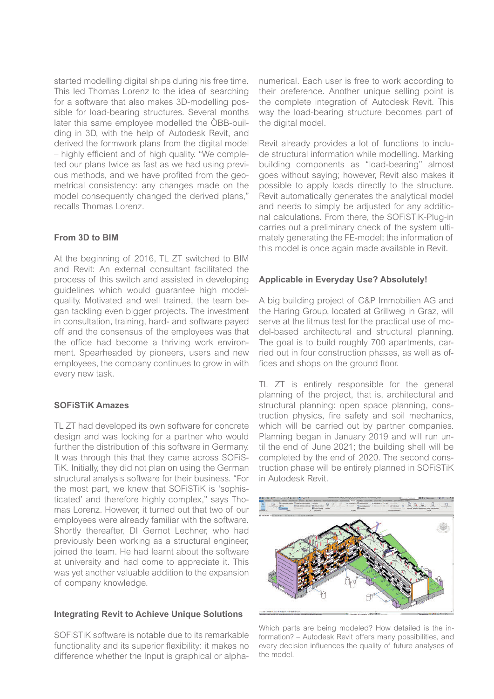started modelling digital ships during his free time. This led Thomas Lorenz to the idea of searching for a software that also makes 3D-modelling possible for load-bearing structures. Several months later this same employee modelled the ÖBB-building in 3D, with the help of Autodesk Revit, and derived the formwork plans from the digital model – highly efficient and of high quality. "We completed our plans twice as fast as we had using previous methods, and we have profited from the geometrical consistency: any changes made on the model consequently changed the derived plans," recalls Thomas Lorenz.

### **From 3D to BIM**

At the beginning of 2016, TL ZT switched to BIM and Revit: An external consultant facilitated the process of this switch and assisted in developing guidelines which would guarantee high modelquality. Motivated and well trained, the team began tackling even bigger projects. The investment in consultation, training, hard- and software payed off and the consensus of the employees was that the office had become a thriving work environment. Spearheaded by pioneers, users and new employees, the company continues to grow in with every new task.

## **SOFiSTiK Amazes**

TL ZT had developed its own software for concrete design and was looking for a partner who would further the distribution of this software in Germany. It was through this that they came across SOFiS-TiK. Initially, they did not plan on using the German structural analysis software for their business. "For the most part, we knew that SOFiSTiK is 'sophisticated' and therefore highly complex," says Thomas Lorenz. However, it turned out that two of our employees were already familiar with the software. Shortly thereafter, DI Gernot Lechner, who had previously been working as a structural engineer, joined the team. He had learnt about the software at university and had come to appreciate it. This was yet another valuable addition to the expansion of company knowledge.

### **Integrating Revit to Achieve Unique Solutions**

SOFiSTiK software is notable due to its remarkable functionality and its superior flexibility: it makes no difference whether the Input is graphical or alpha-

numerical. Each user is free to work according to their preference. Another unique selling point is the complete integration of Autodesk Revit. This way the load-bearing structure becomes part of the digital model.

Revit already provides a lot of functions to include structural information while modelling. Marking building components as "load-bearing" almost goes without saying; however, Revit also makes it possible to apply loads directly to the structure. Revit automatically generates the analytical model and needs to simply be adjusted for any additional calculations. From there, the SOFiSTiK-Plug-in carries out a preliminary check of the system ultimately generating the FE-model; the information of this model is once again made available in Revit.

### **Applicable in Everyday Use? Absolutely!**

A big building project of C&P Immobilien AG and the Haring Group, located at Grillweg in Graz, will serve at the litmus test for the practical use of model-based architectural and structural planning. The goal is to build roughly 700 apartments, carried out in four construction phases, as well as offices and shops on the ground floor.

TL ZT is entirely responsible for the general planning of the project, that is, architectural and structural planning: open space planning, construction physics, fire safety and soil mechanics, which will be carried out by partner companies. Planning began in January 2019 and will run until the end of June 2021; the building shell will be completed by the end of 2020. The second construction phase will be entirely planned in SOFiSTiK in Autodesk Revit.



Which parts are being modeled? How detailed is the information? – Autodesk Revit offers many possibilities, and every decision influences the quality of future analyses of the model.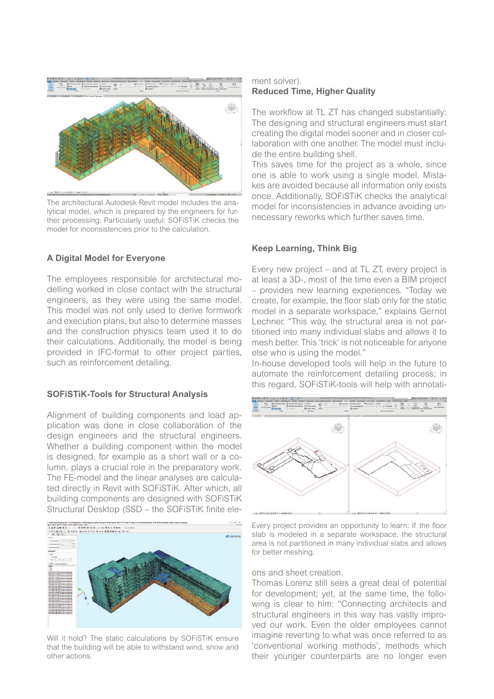

The architectural Autodesk Revit model includes the analytical model, which is prepared by the engineers for further processing. Particularly useful: SOFiSTiK checks the model for inconsistencies prior to the calculation.

### **A Digital Model for Everyone**

The employees responsible for architectural modelling worked in close contact with the structural engineers, as they were using the same model. This model was not only used to derive formwork and execution plans, but also to determine masses and the construction physics team used it to do their calculations. Additionally, the model is being provided in IFC-format to other project parties, such as reinforcement detailing.

#### **SOFiSTiK-Tools for Structural Analysis**

Alignment of building components and load application was done in close collaboration of the design engineers and the structural engineers. Whether a building component within the model is designed, for example as a short wall or a column, plays a crucial role in the preparatory work. The FE-model and the linear analyses are calculated directly in Revit with SOFiSTiK. After which, all building components are designed with SOFiSTiK Structural Desktop (SSD – the SOFiSTiK finite ele-



Will it hold? The static calculations by SOFiSTiK ensure that the building will be able to withstand wind, snow and other actions.

#### ment solver). **Reduced Time, Higher Quality**

The workflow at TL ZT has changed substantially: The designing and structural engineers must start creating the digital model sooner and in closer collaboration with one another. The model must include the entire building shell.

This saves time for the project as a whole, since one is able to work using a single model. Mistakes are avoided because all information only exists once. Additionally, SOFiSTiK checks the analytical model for inconsistencies in advance avoiding unnecessary reworks which further saves time.

#### **Keep Learning, Think Big**

Every new project – and at TL ZT, every project is at least a 3D-, most of the time even a BIM project – provides new learning experiences. "Today we create, for example, the floor slab only for the static model in a separate workspace," explains Gernot Lechner. "This way, the structural area is not partitioned into many individual slabs and allows it to mesh better. This 'trick' is not noticeable for anyone else who is using the model."

In-house developed tools will help in the future to automate the reinforcement detailing process; in this regard, SOFiSTiK-tools will help with annotati-



Every project provides an opportunity to learn: If the floor slab is modeled in a separate workspace, the structural area is not partitioned in many individual slabs and allows for better meshing.

#### ons and sheet creation.

Thomas Lorenz still sees a great deal of potential for development; yet, at the same time, the following is clear to him: "Connecting architects and structural engineers in this way has vastly improved our work. Even the older employees cannot imagine reverting to what was once referred to as 'conventional working methods', methods which their younger counterparts are no longer even